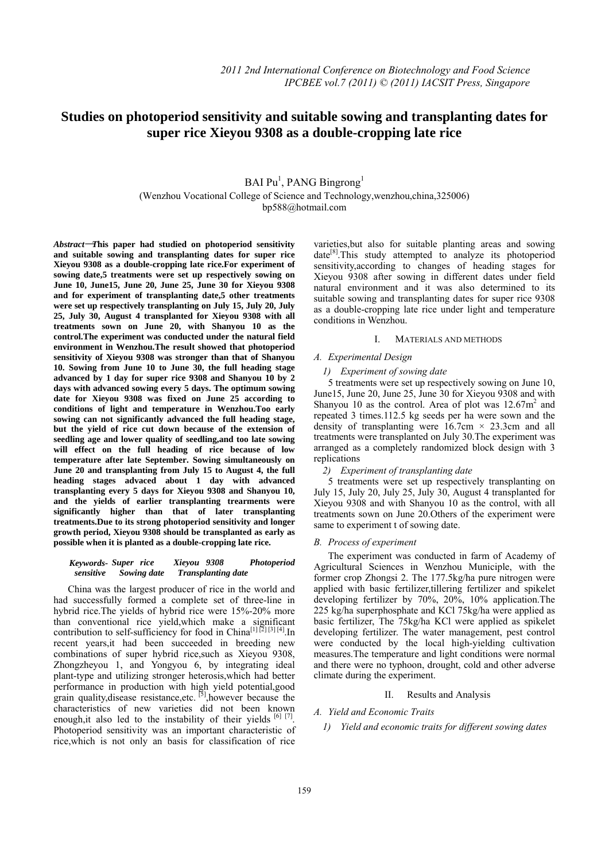# **Studies on photoperiod sensitivity and suitable sowing and transplanting dates for**   **super rice Xieyou 9308 as a double-cropping late rice**

## BAI Pu<sup>1</sup>, PANG Bingrong<sup>1</sup> (Wenzhou Vocational College of Science and Technology,wenzhou,china,325006) bp588@hotmail.com

Abstract-This paper had studied on photoperiod sensitivity **and suitable sowing and transplanting dates for super rice Xieyou 9308 as a double-cropping late rice.For experiment of sowing date,5 treatments were set up respectively sowing on June 10, June15, June 20, June 25, June 30 for Xieyou 9308 and for experiment of transplanting date,5 other treatments were set up respectively transplanting on July 15, July 20, July 25, July 30, August 4 transplanted for Xieyou 9308 with all treatments sown on June 20, with Shanyou 10 as the control.The experiment was conducted under the natural field environment in Wenzhou.The result showed that photoperiod sensitivity of Xieyou 9308 was stronger than that of Shanyou 10. Sowing from June 10 to June 30, the full heading stage advanced by 1 day for super rice 9308 and Shanyou 10 by 2 days with advanced sowing every 5 days. The optimum sowing date for Xieyou 9308 was fixed on June 25 according to conditions of light and temperature in Wenzhou.Too early sowing can not significantly advanced the full heading stage, but the yield of rice cut down because of the extension of seedling age and lower quality of seedling,and too late sowing will effect on the full heading of rice because of low temperature after late September. Sowing simultaneously on June 20 and transplanting from July 15 to August 4, the full heading stages advaced about 1 day with advanced transplanting every 5 days for Xieyou 9308 and Shanyou 10, and the yields of earlier transplanting trearments were significantly higher than that of later transplanting treatments.Due to its strong photoperiod sensitivity and longer growth period, Xieyou 9308 should be transplanted as early as possible when it is planted as a double-cropping late rice.**

#### *sensitive Sowing date Transplanting date Super rice Xieyou 9308 Photoperiod Keywords-*

China was the largest producer of rice in the world and had successfully formed a complete set of three-line in hybrid rice. The yields of hybrid rice were 15%-20% more than conventional rice yield,which make a significant contribution to self-sufficiency for food in China<sup>[1][2][3][4]</sup>.In recent years,it had been succeeded in breeding new combinations of super hybrid rice,such as Xieyou 9308, Zhongzheyou 1, and Yongyou 6, by integrating ideal plant-type and utilizing stronger heterosis,which had better performance in production with high yield potential,good grain quality, disease resistance, etc. <sup>[5]</sup>, however because the characteristics of new varieties did not been known enough, it also led to the instability of their yields [6] [7]. Photoperiod sensitivity was an important characteristic of rice,which is not only an basis for classification of rice varieties,but also for suitable planting areas and sowing  $date^{[8]}$ . This study attempted to analyze its photoperiod sensitivity,according to changes of heading stages for Xieyou 9308 after sowing in different dates under field natural environment and it was also determined to its suitable sowing and transplanting dates for super rice 9308 as a double-cropping late rice under light and temperature conditions in Wenzhou.

#### I. MATERIALS AND METHODS

## *A. Experimental Design*

#### *1) Experiment of sowing date*

5 treatments were set up respectively sowing on June 10, June15, June 20, June 25, June 30 for Xieyou 9308 and with Shanyou 10 as the control. Area of plot was  $12.67m^2$  and repeated 3 times.112.5 kg seeds per ha were sown and the density of transplanting were  $16.7 \text{cm} \times 23.3 \text{cm}$  and all treatments were transplanted on July 30.The experiment was arranged as a completely randomized block design with 3 replications

## *2) Experiment of transplanting date*

5 treatments were set up respectively transplanting on July 15, July 20, July 25, July 30, August 4 transplanted for Xieyou 9308 and with Shanyou 10 as the control, with all treatments sown on June 20.Others of the experiment were same to experiment t of sowing date.

#### *B. Process of experiment*

The experiment was conducted in farm of Academy of Agricultural Sciences in Wenzhou Municiple, with the former crop Zhongsi 2. The 177.5kg/ha pure nitrogen were applied with basic fertilizer,tillering fertilizer and spikelet developing fertilizer by 70%, 20%, 10% application.The 225 kg/ha superphosphate and KCl 75kg/ha were applied as basic fertilizer, The 75kg/ha KCl were applied as spikelet developing fertilizer. The water management, pest control were conducted by the local high-yielding cultivation measures.The temperature and light conditions were normal and there were no typhoon, drought, cold and other adverse climate during the experiment.

#### II. Results and Analysis

## *A. Yield and Economic Traits*

*1) Yield and economic traits for different sowing dates*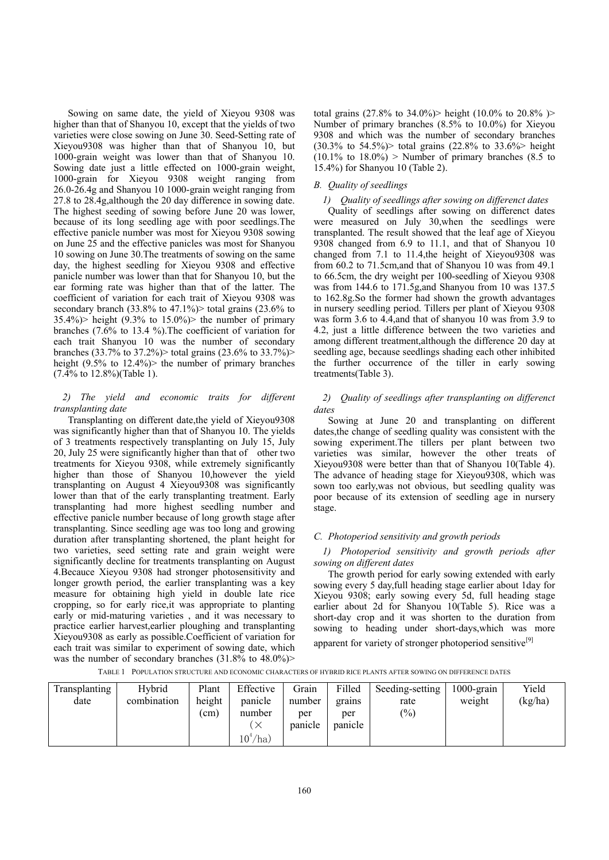Sowing on same date, the yield of Xieyou 9308 was higher than that of Shanyou 10, except that the yields of two varieties were close sowing on June 30. Seed-Setting rate of Xieyou9308 was higher than that of Shanyou 10, but 1000-grain weight was lower than that of Shanyou 10. Sowing date just a little effected on 1000-grain weight, 1000-grain for Xieyou 9308 weight ranging from 26.0-26.4g and Shanyou 10 1000-grain weight ranging from 27.8 to 28.4g,although the 20 day difference in sowing date. The highest seeding of sowing before June 20 was lower, because of its long seedling age with poor seedlings.The effective panicle number was most for Xieyou 9308 sowing on June 25 and the effective panicles was most for Shanyou 10 sowing on June 30.The treatments of sowing on the same day, the highest seedling for Xieyou 9308 and effective panicle number was lower than that for Shanyou 10, but the ear forming rate was higher than that of the latter. The coefficient of variation for each trait of Xieyou 9308 was secondary branch  $(33.8\% \text{ to } 47.1\%)$  total grains  $(23.6\% \text{ to } 47.1\%)$  $35.4\%)$  height  $(9.3\%$  to  $15.0\%)$  the number of primary branches (7.6% to 13.4 %).The coefficient of variation for each trait Shanyou 10 was the number of secondary branches (33.7% to 37.2%) total grains (23.6% to 33.7%) > height  $(9.5\%$  to  $12.4\%)$  the number of primary branches (7.4% to 12.8%)(Table 1).

## *2) The yield and economic traits for different transplanting date*

Transplanting on different date,the yield of Xieyou9308 was significantly higher than that of Shanyou 10. The yields of 3 treatments respectively transplanting on July 15, July 20, July 25 were significantly higher than that of other two treatments for Xieyou 9308, while extremely significantly higher than those of Shanyou 10,however the yield transplanting on August 4 Xieyou9308 was significantly lower than that of the early transplanting treatment. Early transplanting had more highest seedling number and effective panicle number because of long growth stage after transplanting. Since seedling age was too long and growing duration after transplanting shortened, the plant height for two varieties, seed setting rate and grain weight were significantly decline for treatments transplanting on August 4.Becauce Xieyou 9308 had stronger photosensitivity and longer growth period, the earlier transplanting was a key measure for obtaining high yield in double late rice cropping, so for early rice,it was appropriate to planting early or mid-maturing varieties , and it was necessary to practice earlier harvest,earlier ploughing and transplanting Xieyou9308 as early as possible.Coefficient of variation for each trait was similar to experiment of sowing date, which was the number of secondary branches  $(31.8\%$  to  $48.0\%)$ 

total grains (27.8% to 34.0%) height (10.0% to 20.8%) Number of primary branches (8.5% to 10.0%) for Xieyou 9308 and which was the number of secondary branches  $(30.3\% \text{ to } 54.5\%)$  total grains  $(22.8\% \text{ to } 33.6\%)$  height  $(10.1\% \text{ to } 18.0\%)$  > Number of primary branches  $(8.5 \text{ to } 18.0\%)$ 15.4%) for Shanyou 10 (Table 2).

#### *B. Quality of seedlings*

#### *1) Quality of seedlings after sowing on differenct dates*

Quality of seedlings after sowing on differenct dates were measured on July 30,when the seedlings were transplanted. The result showed that the leaf age of Xieyou 9308 changed from 6.9 to 11.1, and that of Shanyou 10 changed from 7.1 to 11.4,the height of Xieyou9308 was from 60.2 to 71.5cm,and that of Shanyou 10 was from 49.1 to 66.5cm, the dry weight per 100-seedling of Xieyou 9308 was from 144.6 to 171.5g,and Shanyou from 10 was 137.5 to 162.8g.So the former had shown the growth advantages in nursery seedling period. Tillers per plant of Xieyou 9308 was form 3.6 to 4.4,and that of shanyou 10 was from 3.9 to 4.2, just a little difference between the two varieties and among different treatment,although the difference 20 day at seedling age, because seedlings shading each other inhibited the further occurrence of the tiller in early sowing treatments(Table 3).

## *2) Quality of seedlings after transplanting on differenct dates*

Sowing at June 20 and transplanting on different dates,the change of seedling quality was consistent with the sowing experiment.The tillers per plant between two varieties was similar, however the other treats of Xieyou9308 were better than that of Shanyou 10(Table 4). The advance of heading stage for Xieyou9308, which was sown too early,was not obvious, but seedling quality was poor because of its extension of seedling age in nursery stage.

#### *C. Photoperiod sensitivity and growth periods*

## *1) Photoperiod sensitivity and growth periods after sowing on different dates*

The growth period for early sowing extended with early sowing every 5 day,full heading stage earlier about 1day for Xieyou 9308; early sowing every 5d, full heading stage earlier about 2d for Shanyou 10(Table 5). Rice was a short-day crop and it was shorten to the duration from sowing to heading under short-days,which was more

apparent for variety of stronger photoperiod sensitive<sup>[9]</sup>

TABLE 1 POPULATION STRUCTURE AND ECONOMIC CHARACTERS OF HYBRID RICE PLANTS AFTER SOWING ON DIFFERENCE DATES

| Transplanting | Hybrid      | Plant  | Effective | Grain   | Filled  | Seeding-setting | $1000$ -grain | Yield   |
|---------------|-------------|--------|-----------|---------|---------|-----------------|---------------|---------|
| date          | combination | height | panicle   | number  | grains  | rate            | weight        | (kg/ha) |
|               |             | (cm)   | number    | per     | per     | $\frac{(0)}{0}$ |               |         |
|               |             |        | $\times$  | panicle | panicle |                 |               |         |
|               |             |        | $10^4/ha$ |         |         |                 |               |         |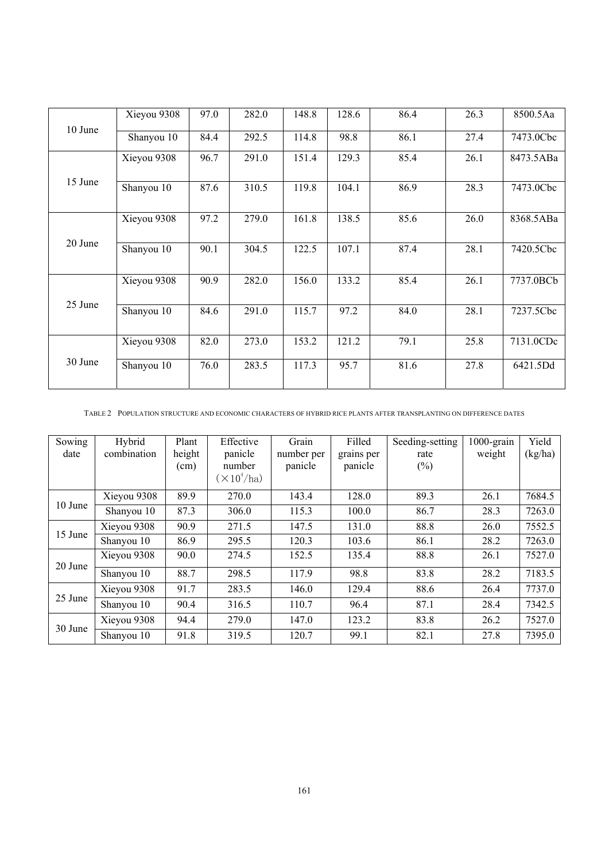| 10 June | Xieyou 9308 | 97.0 | 282.0 | 148.8 | 128.6 | 86.4 | 26.3 | 8500.5Aa  |
|---------|-------------|------|-------|-------|-------|------|------|-----------|
|         | Shanyou 10  | 84.4 | 292.5 | 114.8 | 98.8  | 86.1 | 27.4 | 7473.0Cbc |
|         | Xieyou 9308 | 96.7 | 291.0 | 151.4 | 129.3 | 85.4 | 26.1 | 8473.5ABa |
| 15 June | Shanyou 10  | 87.6 | 310.5 | 119.8 | 104.1 | 86.9 | 28.3 | 7473.0Cbc |
|         | Xieyou 9308 | 97.2 | 279.0 | 161.8 | 138.5 | 85.6 | 26.0 | 8368.5ABa |
| 20 June | Shanyou 10  | 90.1 | 304.5 | 122.5 | 107.1 | 87.4 | 28.1 | 7420.5Cbc |
|         | Xieyou 9308 | 90.9 | 282.0 | 156.0 | 133.2 | 85.4 | 26.1 | 7737.0BCb |
| 25 June | Shanyou 10  | 84.6 | 291.0 | 115.7 | 97.2  | 84.0 | 28.1 | 7237.5Cbc |
|         | Xieyou 9308 | 82.0 | 273.0 | 153.2 | 121.2 | 79.1 | 25.8 | 7131.0CDc |
| 30 June | Shanyou 10  | 76.0 | 283.5 | 117.3 | 95.7  | 81.6 | 27.8 | 6421.5Dd  |

TABLE 2 POPULATION STRUCTURE AND ECONOMIC CHARACTERS OF HYBRID RICE PLANTS AFTER TRANSPLANTING ON DIFFERENCE DATES

| Sowing  | Hybrid      | Plant  | Effective                 | Grain      | Filled     | Seeding-setting | $1000$ -grain | Yield   |
|---------|-------------|--------|---------------------------|------------|------------|-----------------|---------------|---------|
| date    | combination | height | panicle                   | number per | grains per | rate            | weight        | (kg/ha) |
|         |             | (cm)   | number                    | panicle    | panicle    | $(\%)$          |               |         |
|         |             |        | $(\times 10^4/\text{ha})$ |            |            |                 |               |         |
|         | Xieyou 9308 | 89.9   | 270.0                     | 143.4      | 128.0      | 89.3            | 26.1          | 7684.5  |
| 10 June | Shanyou 10  | 87.3   | 306.0                     | 115.3      | 100.0      | 86.7            | 28.3          | 7263.0  |
|         | Xieyou 9308 | 90.9   | 271.5                     | 147.5      | 131.0      | 88.8            | 26.0          | 7552.5  |
| 15 June | Shanyou 10  | 86.9   | 295.5                     | 120.3      | 103.6      | 86.1            | 28.2          | 7263.0  |
| 20 June | Xieyou 9308 | 90.0   | 274.5                     | 152.5      | 135.4      | 88.8            | 26.1          | 7527.0  |
|         | Shanyou 10  | 88.7   | 298.5                     | 117.9      | 98.8       | 83.8            | 28.2          | 7183.5  |
|         | Xieyou 9308 | 91.7   | 283.5                     | 146.0      | 129.4      | 88.6            | 26.4          | 7737.0  |
| 25 June | Shanyou 10  | 90.4   | 316.5                     | 110.7      | 96.4       | 87.1            | 28.4          | 7342.5  |
| 30 June | Xieyou 9308 | 94.4   | 279.0                     | 147.0      | 123.2      | 83.8            | 26.2          | 7527.0  |
|         | Shanyou 10  | 91.8   | 319.5                     | 120.7      | 99.1       | 82.1            | 27.8          | 7395.0  |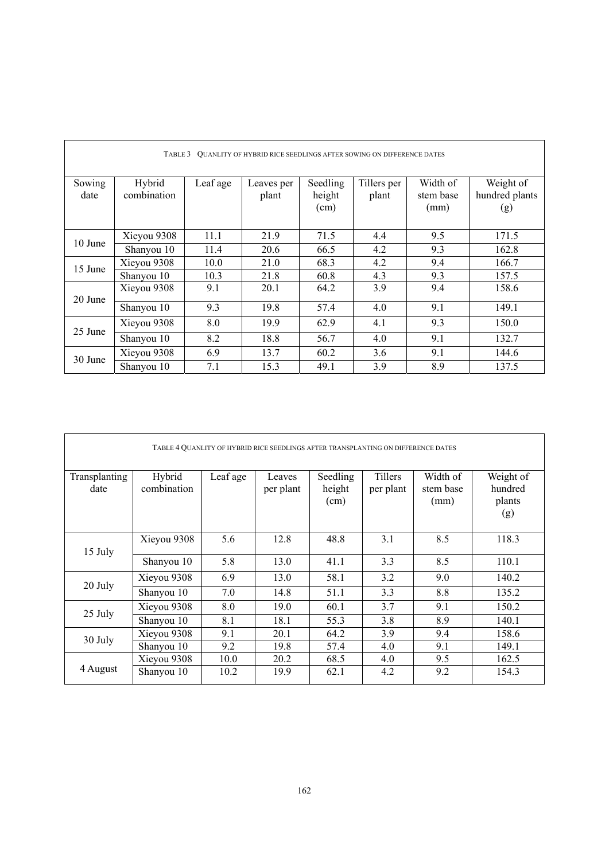| QUANLITY OF HYBRID RICE SEEDLINGS AFTER SOWING ON DIFFERENCE DATES<br>TABLE 3 |                       |          |                     |                            |                      |                               |                                    |  |  |
|-------------------------------------------------------------------------------|-----------------------|----------|---------------------|----------------------------|----------------------|-------------------------------|------------------------------------|--|--|
| Sowing<br>date                                                                | Hybrid<br>combination | Leaf age | Leaves per<br>plant | Seedling<br>height<br>(cm) | Tillers per<br>plant | Width of<br>stem base<br>(mm) | Weight of<br>hundred plants<br>(g) |  |  |
|                                                                               | Xieyou 9308           | 11.1     | 21.9                | 71.5                       | 4.4                  | 9.5                           | 171.5                              |  |  |
| 10 June                                                                       | Shanyou 10            | 11.4     | 20.6                | 66.5                       | 4.2                  | 9.3                           | 162.8                              |  |  |
|                                                                               | Xieyou 9308           | 10.0     | 21.0                | 68.3                       | 4.2                  | 9.4                           | 166.7                              |  |  |
| 15 June                                                                       | Shanyou 10            | 10.3     | 21.8                | 60.8                       | 4.3                  | 9.3                           | 157.5                              |  |  |
| 20 June                                                                       | Xieyou 9308           | 9.1      | 20.1                | 64.2                       | 3.9                  | 9.4                           | 158.6                              |  |  |
|                                                                               | Shanyou 10            | 9.3      | 19.8                | 57.4                       | 4.0                  | 9.1                           | 149.1                              |  |  |
|                                                                               | Xieyou 9308           | 8.0      | 19.9                | 62.9                       | 4.1                  | 9.3                           | 150.0                              |  |  |
| 25 June                                                                       | Shanyou 10            | 8.2      | 18.8                | 56.7                       | 4.0                  | 9.1                           | 132.7                              |  |  |
| 30 June                                                                       | Xieyou 9308           | 6.9      | 13.7                | 60.2                       | 3.6                  | 9.1                           | 144.6                              |  |  |
|                                                                               | Shanyou 10            | 7.1      | 15.3                | 49.1                       | 3.9                  | 8.9                           | 137.5                              |  |  |

| TABLE 4 QUANLITY OF HYBRID RICE SEEDLINGS AFTER TRANSPLANTING ON DIFFERENCE DATES |                       |          |                     |                            |                      |                               |                                       |  |  |
|-----------------------------------------------------------------------------------|-----------------------|----------|---------------------|----------------------------|----------------------|-------------------------------|---------------------------------------|--|--|
| Transplanting<br>date                                                             | Hybrid<br>combination | Leaf age | Leaves<br>per plant | Seedling<br>height<br>(cm) | Tillers<br>per plant | Width of<br>stem base<br>(mm) | Weight of<br>hundred<br>plants<br>(g) |  |  |
| 15 July                                                                           | Xieyou 9308           | 5.6      | 12.8                | 48.8                       | 3.1                  | 8.5                           | 118.3                                 |  |  |
|                                                                                   | Shanyou 10            | 5.8      | 13.0                | 41.1                       | 3.3                  | 8.5                           | 110.1                                 |  |  |
|                                                                                   | Xieyou 9308           | 6.9      | 13.0                | 58.1                       | 3.2                  | 9.0                           | 140.2                                 |  |  |
| 20 July                                                                           | Shanyou 10            | 7.0      | 14.8                | 51.1                       | 3.3                  | 8.8                           | 135.2                                 |  |  |
| 25 July                                                                           | Xieyou 9308           | 8.0      | 19.0                | 60.1                       | 3.7                  | 9.1                           | 150.2                                 |  |  |
|                                                                                   | Shanyou 10            | 8.1      | 18.1                | 55.3                       | 3.8                  | 8.9                           | 140.1                                 |  |  |
| 30 July                                                                           | Xieyou 9308           | 9.1      | 20.1                | 64.2                       | 3.9                  | 9.4                           | 158.6                                 |  |  |
|                                                                                   | Shanyou 10            | 9.2      | 19.8                | 57.4                       | 4.0                  | 9.1                           | 149.1                                 |  |  |
|                                                                                   | Xieyou 9308           | 10.0     | 20.2                | 68.5                       | 4.0                  | 9.5                           | 162.5                                 |  |  |
| 4 August                                                                          | Shanyou 10            | 10.2     | 19.9                | 62.1                       | 4.2                  | 9.2                           | 154.3                                 |  |  |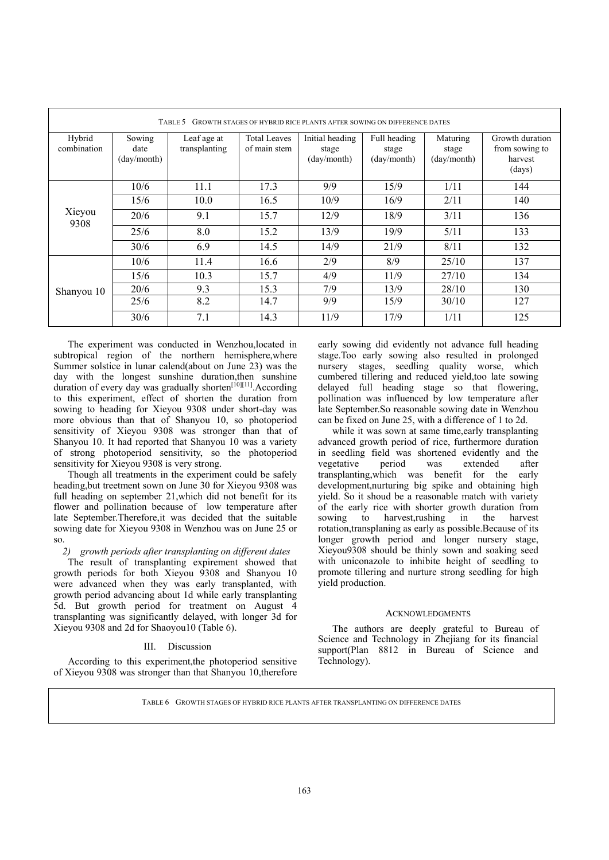| GROWTH STAGES OF HYBRID RICE PLANTS AFTER SOWING ON DIFFERENCE DATES<br>TABLE 5 |                               |                              |                                     |                                         |                                      |                                  |                                                        |  |  |
|---------------------------------------------------------------------------------|-------------------------------|------------------------------|-------------------------------------|-----------------------------------------|--------------------------------------|----------------------------------|--------------------------------------------------------|--|--|
| Hybrid<br>combination                                                           | Sowing<br>date<br>(day/month) | Leaf age at<br>transplanting | <b>Total Leaves</b><br>of main stem | Initial heading<br>stage<br>(day/month) | Full heading<br>stage<br>(dav/month) | Maturing<br>stage<br>(day/month) | Growth duration<br>from sowing to<br>harvest<br>(days) |  |  |
|                                                                                 | 10/6                          | 11.1                         | 17.3                                | 9/9                                     | 15/9                                 | 1/11                             | 144                                                    |  |  |
|                                                                                 | 15/6                          | 10.0                         | 16.5                                | 10/9                                    | 16/9                                 | 2/11                             | 140                                                    |  |  |
| Xieyou<br>9308                                                                  | 20/6                          | 9.1                          | 15.7                                | 12/9                                    | 18/9                                 | 3/11                             | 136                                                    |  |  |
|                                                                                 | 25/6                          | 8.0                          | 15.2                                | 13/9                                    | 19/9                                 | 5/11                             | 133                                                    |  |  |
|                                                                                 | 30/6                          | 6.9                          | 14.5                                | 14/9                                    | 21/9                                 | 8/11                             | 132                                                    |  |  |
|                                                                                 | 10/6                          | 11.4                         | 16.6                                | 2/9                                     | 8/9                                  | 25/10                            | 137                                                    |  |  |
|                                                                                 | 15/6                          | 10.3                         | 15.7                                | 4/9                                     | 11/9                                 | 27/10                            | 134                                                    |  |  |
| Shanyou 10                                                                      | 20/6                          | 9.3                          | 15.3                                | 7/9                                     | 13/9                                 | 28/10                            | 130                                                    |  |  |
|                                                                                 | 25/6                          | 8.2                          | 14.7                                | 9/9                                     | 15/9                                 | 30/10                            | 127                                                    |  |  |
|                                                                                 | 30/6                          | 7.1                          | 14.3                                | 11/9                                    | 17/9                                 | 1/11                             | 125                                                    |  |  |

The experiment was conducted in Wenzhou,located in subtropical region of the northern hemisphere,where Summer solstice in lunar calend(about on June 23) was the day with the longest sunshine duration, then sunshine duration of every day was gradually shorten<sup>[10][11]</sup>. According to this experiment, effect of shorten the duration from sowing to heading for Xieyou 9308 under short-day was more obvious than that of Shanyou 10, so photoperiod sensitivity of Xieyou 9308 was stronger than that of Shanyou 10. It had reported that Shanyou 10 was a variety of strong photoperiod sensitivity, so the photoperiod sensitivity for Xieyou 9308 is very strong.

Though all treatments in the experiment could be safely heading,but treetment sown on June 30 for Xieyou 9308 was full heading on september 21,which did not benefit for its flower and pollination because of low temperature after late September.Therefore,it was decided that the suitable sowing date for Xieyou 9308 in Wenzhou was on June 25 or so.

*2) growth periods after transplanting on different dates* 

The result of transplanting expirement showed that growth periods for both Xieyou 9308 and Shanyou 10 were advanced when they was early transplanted, with growth period advancing about 1d while early transplanting 5d. But growth period for treatment on August 4 transplanting was significantly delayed, with longer 3d for Xieyou 9308 and 2d for Shaoyou10 (Table 6).

## III. Discussion

According to this experiment,the photoperiod sensitive of Xieyou 9308 was stronger than that Shanyou 10,therefore

early sowing did evidently not advance full heading stage.Too early sowing also resulted in prolonged nursery stages, seedling quality worse, which cumbered tillering and reduced yield,too late sowing delayed full heading stage so that flowering, pollination was influenced by low temperature after late September.So reasonable sowing date in Wenzhou can be fixed on June 25, with a difference of 1 to 2d.

while it was sown at same time,early transplanting advanced growth period of rice, furthermore duration in seedling field was shortened evidently and the vegetative period was extended after vegetative period was extended after transplanting,which was benefit for the early development,nurturing big spike and obtaining high yield. So it shoud be a reasonable match with variety of the early rice with shorter growth duration from sowing to harvest,rushing in the harvest rotation,transplaning as early as possible.Because of its longer growth period and longer nursery stage, Xieyou9308 should be thinly sown and soaking seed with uniconazole to inhibite height of seedling to promote tillering and nurture strong seedling for high yield production.

## **ACKNOWLEDGMENTS**

The authors are deeply grateful to Bureau of Science and Technology in Zhejiang for its financial support(Plan 8812 in Bureau of Science and Technology).

TABLE 6 GROWTH STAGES OF HYBRID RICE PLANTS AFTER TRANSPLANTING ON DIFFERENCE DATES